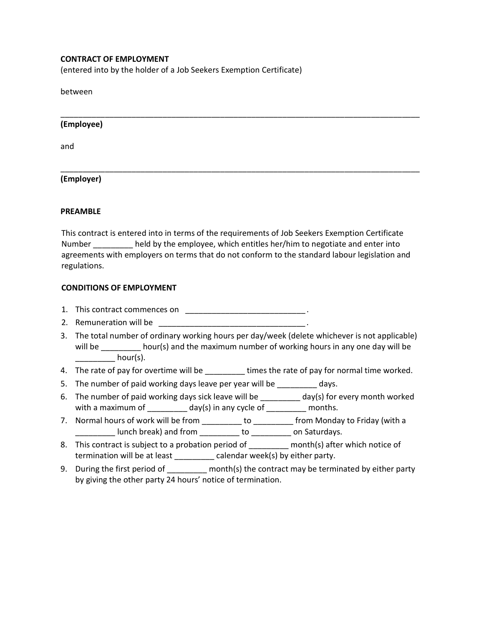## CONTRACT OF EMPLOYMENT

(entered into by the holder of a Job Seekers Exemption Certificate)

between

## (Employee)

and

# (Employer)

#### PREAMBLE

This contract is entered into in terms of the requirements of Job Seekers Exemption Certificate Number held by the employee, which entitles her/him to negotiate and enter into agreements with employers on terms that do not conform to the standard labour legislation and regulations.

\_\_\_\_\_\_\_\_\_\_\_\_\_\_\_\_\_\_\_\_\_\_\_\_\_\_\_\_\_\_\_\_\_\_\_\_\_\_\_\_\_\_\_\_\_\_\_\_\_\_\_\_\_\_\_\_\_\_\_\_\_\_\_\_\_\_\_\_\_\_\_\_\_\_\_\_\_\_\_\_\_

\_\_\_\_\_\_\_\_\_\_\_\_\_\_\_\_\_\_\_\_\_\_\_\_\_\_\_\_\_\_\_\_\_\_\_\_\_\_\_\_\_\_\_\_\_\_\_\_\_\_\_\_\_\_\_\_\_\_\_\_\_\_\_\_\_\_\_\_\_\_\_\_\_\_\_\_\_\_\_\_\_

### CONDITIONS OF EMPLOYMENT

- 1. This contract commences on \_\_\_\_\_\_\_\_\_\_\_\_\_\_\_\_\_\_\_\_\_\_\_\_\_\_\_\_\_\_\_\_\_\_.
- 2. Remuneration will be
- 3. The total number of ordinary working hours per day/week (delete whichever is not applicable) will be \_\_\_\_\_\_\_\_\_ hour(s) and the maximum number of working hours in any one day will be  $hour(s)$ .
- 4. The rate of pay for overtime will be \_\_\_\_\_\_\_\_\_\_ times the rate of pay for normal time worked.
- 5. The number of paid working days leave per year will be \_\_\_\_\_\_\_\_ days.
- 6. The number of paid working days sick leave will be \_\_\_\_\_\_\_\_\_ day(s) for every month worked with a maximum of  $\frac{1}{\text{max}}$  day(s) in any cycle of  $\frac{1}{\text{max}}$  months.
- 7. Normal hours of work will be from \_\_\_\_\_\_\_\_\_ to \_\_\_\_\_\_\_\_ from Monday to Friday (with a \_\_\_\_\_\_\_\_\_ lunch break) and from \_\_\_\_\_\_\_\_\_ to \_\_\_\_\_\_\_\_\_ on Saturdays.
- 8. This contract is subject to a probation period of \_\_\_\_\_\_\_\_\_\_\_ month(s) after which notice of termination will be at least \_\_\_\_\_\_\_\_\_ calendar week(s) by either party.
- 9. During the first period of \_\_\_\_\_\_\_\_ month(s) the contract may be terminated by either party by giving the other party 24 hours' notice of termination.